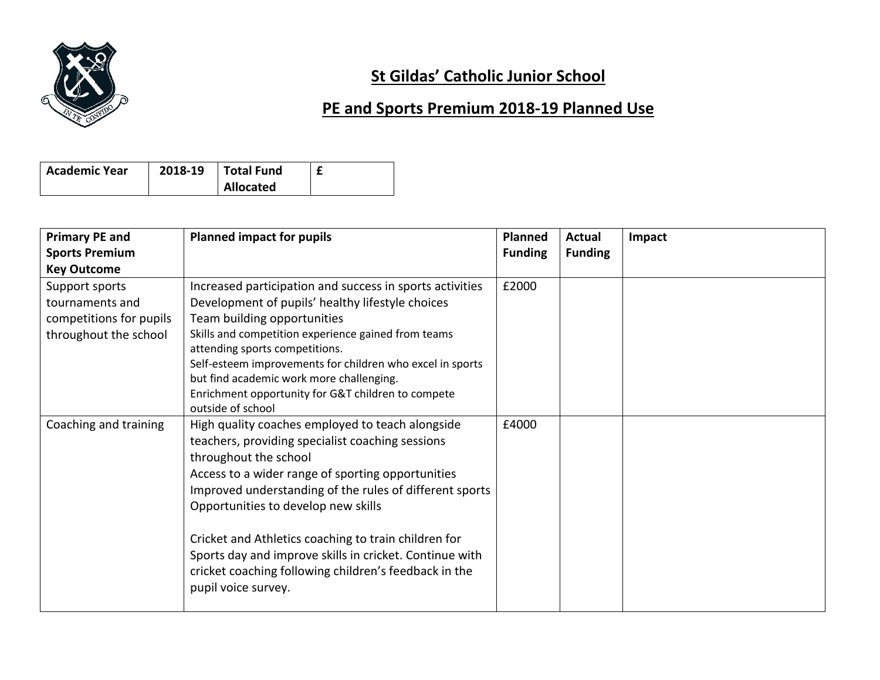

## **St Gildas' Catholic Junior School**

## **PE and Sports Premium 2018-19 Planned Use**

| <b>Academic Year</b> | 2018-19 | Total Fund       |  |
|----------------------|---------|------------------|--|
|                      |         | <b>Allocated</b> |  |

| <b>Primary PE and</b>   | <b>Planned impact for pupils</b>                                        | <b>Planned</b> | <b>Actual</b>  | Impact |
|-------------------------|-------------------------------------------------------------------------|----------------|----------------|--------|
| <b>Sports Premium</b>   |                                                                         | <b>Funding</b> | <b>Funding</b> |        |
| <b>Key Outcome</b>      |                                                                         |                |                |        |
| Support sports          | Increased participation and success in sports activities                | £2000          |                |        |
| tournaments and         | Development of pupils' healthy lifestyle choices                        |                |                |        |
| competitions for pupils | Team building opportunities                                             |                |                |        |
| throughout the school   | Skills and competition experience gained from teams                     |                |                |        |
|                         | attending sports competitions.                                          |                |                |        |
|                         | Self-esteem improvements for children who excel in sports               |                |                |        |
|                         | but find academic work more challenging.                                |                |                |        |
|                         | Enrichment opportunity for G&T children to compete<br>outside of school |                |                |        |
| Coaching and training   | High quality coaches employed to teach alongside                        | £4000          |                |        |
|                         | teachers, providing specialist coaching sessions                        |                |                |        |
|                         | throughout the school                                                   |                |                |        |
|                         | Access to a wider range of sporting opportunities                       |                |                |        |
|                         | Improved understanding of the rules of different sports                 |                |                |        |
|                         | Opportunities to develop new skills                                     |                |                |        |
|                         | Cricket and Athletics coaching to train children for                    |                |                |        |
|                         | Sports day and improve skills in cricket. Continue with                 |                |                |        |
|                         | cricket coaching following children's feedback in the                   |                |                |        |
|                         | pupil voice survey.                                                     |                |                |        |
|                         |                                                                         |                |                |        |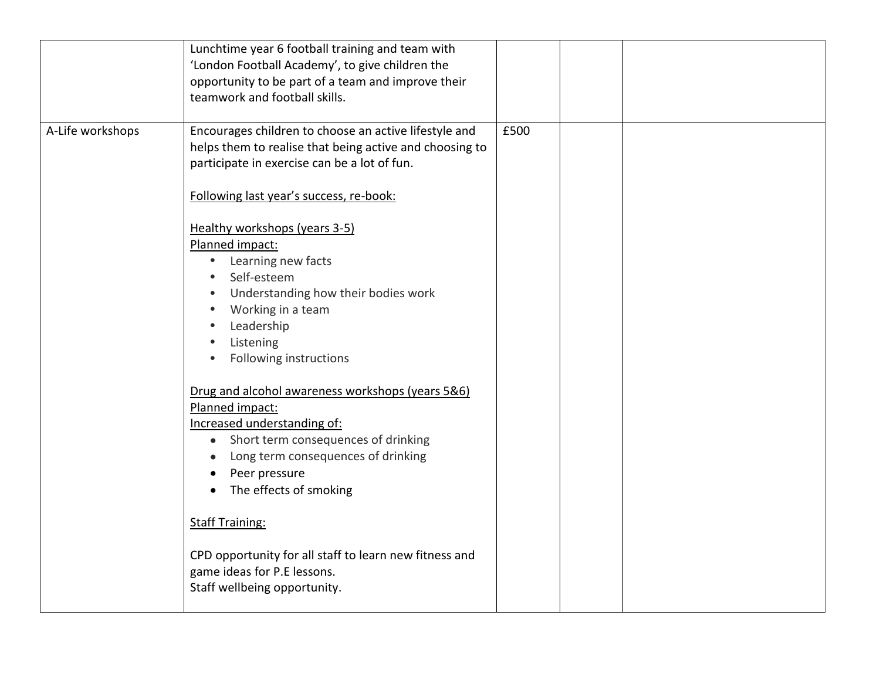|                  | Lunchtime year 6 football training and team with<br>'London Football Academy', to give children the<br>opportunity to be part of a team and improve their<br>teamwork and football skills.                                                                                                                                                                                                                                                                                                                                                                                                                                                                                                                                                                                                                                                                                                        |      |  |
|------------------|---------------------------------------------------------------------------------------------------------------------------------------------------------------------------------------------------------------------------------------------------------------------------------------------------------------------------------------------------------------------------------------------------------------------------------------------------------------------------------------------------------------------------------------------------------------------------------------------------------------------------------------------------------------------------------------------------------------------------------------------------------------------------------------------------------------------------------------------------------------------------------------------------|------|--|
| A-Life workshops | Encourages children to choose an active lifestyle and<br>helps them to realise that being active and choosing to<br>participate in exercise can be a lot of fun.<br>Following last year's success, re-book:<br>Healthy workshops (years 3-5)<br>Planned impact:<br>Learning new facts<br>$\bullet$<br>Self-esteem<br>$\bullet$<br>Understanding how their bodies work<br>Working in a team<br>$\bullet$<br>Leadership<br>Listening<br>$\bullet$<br>Following instructions<br>$\bullet$<br>Drug and alcohol awareness workshops (years 5&6)<br>Planned impact:<br>Increased understanding of:<br>Short term consequences of drinking<br>$\bullet$<br>Long term consequences of drinking<br>$\bullet$<br>Peer pressure<br>The effects of smoking<br><b>Staff Training:</b><br>CPD opportunity for all staff to learn new fitness and<br>game ideas for P.E lessons.<br>Staff wellbeing opportunity. | £500 |  |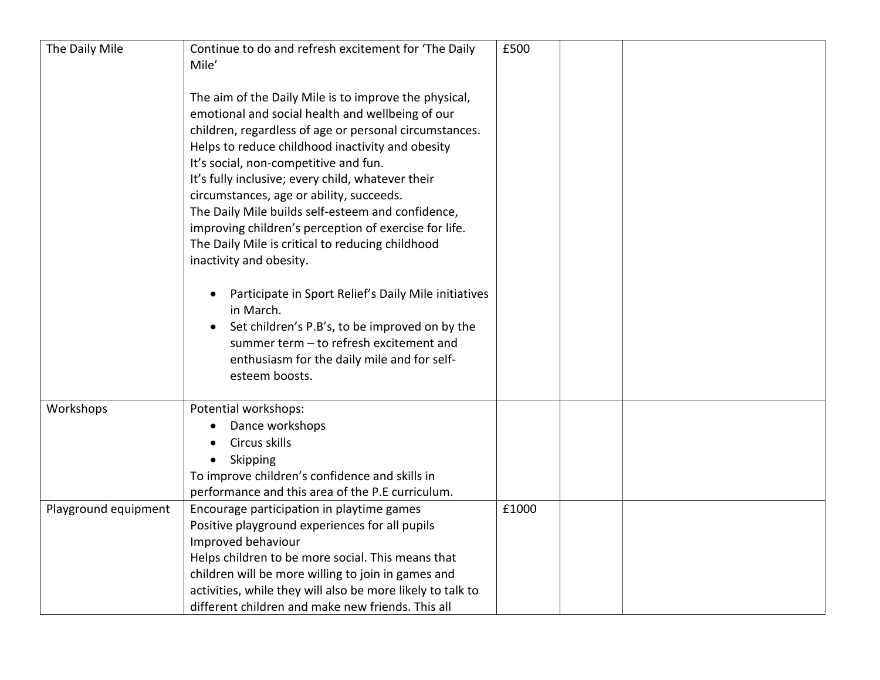| The Daily Mile       | Continue to do and refresh excitement for 'The Daily<br>Mile'                                                                                                                                                                                                                                                                                                                                                                                                                                                                                                  | £500  |  |
|----------------------|----------------------------------------------------------------------------------------------------------------------------------------------------------------------------------------------------------------------------------------------------------------------------------------------------------------------------------------------------------------------------------------------------------------------------------------------------------------------------------------------------------------------------------------------------------------|-------|--|
|                      | The aim of the Daily Mile is to improve the physical,<br>emotional and social health and wellbeing of our<br>children, regardless of age or personal circumstances.<br>Helps to reduce childhood inactivity and obesity<br>It's social, non-competitive and fun.<br>It's fully inclusive; every child, whatever their<br>circumstances, age or ability, succeeds.<br>The Daily Mile builds self-esteem and confidence,<br>improving children's perception of exercise for life.<br>The Daily Mile is critical to reducing childhood<br>inactivity and obesity. |       |  |
|                      | Participate in Sport Relief's Daily Mile initiatives<br>in March.<br>Set children's P.B's, to be improved on by the<br>summer term - to refresh excitement and<br>enthusiasm for the daily mile and for self-<br>esteem boosts.                                                                                                                                                                                                                                                                                                                                |       |  |
| Workshops            | Potential workshops:<br>Dance workshops<br>Circus skills<br>Skipping<br>$\bullet$<br>To improve children's confidence and skills in<br>performance and this area of the P.E curriculum.                                                                                                                                                                                                                                                                                                                                                                        |       |  |
| Playground equipment | Encourage participation in playtime games<br>Positive playground experiences for all pupils<br>Improved behaviour<br>Helps children to be more social. This means that<br>children will be more willing to join in games and<br>activities, while they will also be more likely to talk to<br>different children and make new friends. This all                                                                                                                                                                                                                | £1000 |  |